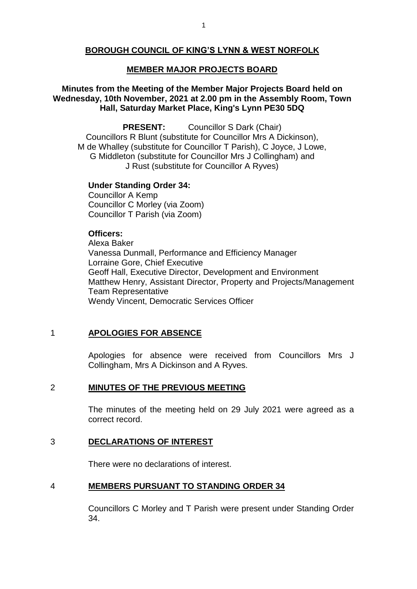# **BOROUGH COUNCIL OF KING'S LYNN & WEST NORFOLK**

### **MEMBER MAJOR PROJECTS BOARD**

## **Minutes from the Meeting of the Member Major Projects Board held on Wednesday, 10th November, 2021 at 2.00 pm in the Assembly Room, Town Hall, Saturday Market Place, King's Lynn PE30 5DQ**

**PRESENT:** Councillor S Dark (Chair) Councillors R Blunt (substitute for Councillor Mrs A Dickinson), M de Whalley (substitute for Councillor T Parish), C Joyce, J Lowe, G Middleton (substitute for Councillor Mrs J Collingham) and J Rust (substitute for Councillor A Ryves)

### **Under Standing Order 34:**

Councillor A Kemp Councillor C Morley (via Zoom) Councillor T Parish (via Zoom)

## **Officers:**

Alexa Baker Vanessa Dunmall, Performance and Efficiency Manager Lorraine Gore, Chief Executive Geoff Hall, Executive Director, Development and Environment Matthew Henry, Assistant Director, Property and Projects/Management Team Representative Wendy Vincent, Democratic Services Officer

# 1 **APOLOGIES FOR ABSENCE**

Apologies for absence were received from Councillors Mrs J Collingham, Mrs A Dickinson and A Ryves.

### 2 **MINUTES OF THE PREVIOUS MEETING**

The minutes of the meeting held on 29 July 2021 were agreed as a correct record.

## 3 **DECLARATIONS OF INTEREST**

There were no declarations of interest.

#### 4 **MEMBERS PURSUANT TO STANDING ORDER 34**

Councillors C Morley and T Parish were present under Standing Order 34.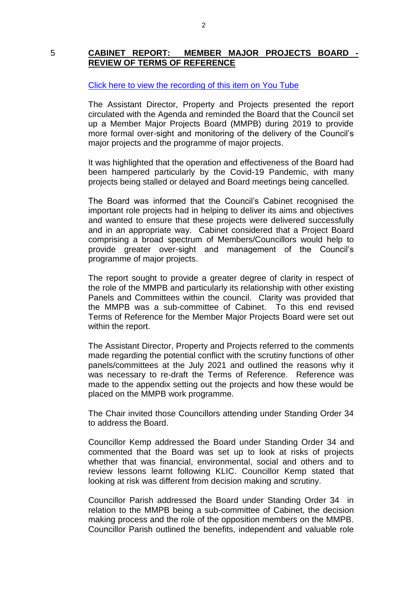## 5 **CABINET REPORT: MEMBER MAJOR PROJECTS BOARD - REVIEW OF TERMS OF REFERENCE**

### [Click here to view the recording of this item on You Tube](https://youtu.be/h4mpQ16i0VM?t=439)

The Assistant Director, Property and Projects presented the report circulated with the Agenda and reminded the Board that the Council set up a Member Major Projects Board (MMPB) during 2019 to provide more formal over-sight and monitoring of the delivery of the Council's major projects and the programme of major projects.

It was highlighted that the operation and effectiveness of the Board had been hampered particularly by the Covid-19 Pandemic, with many projects being stalled or delayed and Board meetings being cancelled.

The Board was informed that the Council's Cabinet recognised the important role projects had in helping to deliver its aims and objectives and wanted to ensure that these projects were delivered successfully and in an appropriate way. Cabinet considered that a Project Board comprising a broad spectrum of Members/Councillors would help to provide greater over-sight and management of the Council's programme of major projects.

The report sought to provide a greater degree of clarity in respect of the role of the MMPB and particularly its relationship with other existing Panels and Committees within the council. Clarity was provided that the MMPB was a sub-committee of Cabinet. To this end revised Terms of Reference for the Member Major Projects Board were set out within the report.

The Assistant Director, Property and Projects referred to the comments made regarding the potential conflict with the scrutiny functions of other panels/committees at the July 2021 and outlined the reasons why it was necessary to re-draft the Terms of Reference. Reference was made to the appendix setting out the projects and how these would be placed on the MMPB work programme.

The Chair invited those Councillors attending under Standing Order 34 to address the Board.

Councillor Kemp addressed the Board under Standing Order 34 and commented that the Board was set up to look at risks of projects whether that was financial, environmental, social and others and to review lessons learnt following KLIC. Councillor Kemp stated that looking at risk was different from decision making and scrutiny.

Councillor Parish addressed the Board under Standing Order 34 in relation to the MMPB being a sub-committee of Cabinet, the decision making process and the role of the opposition members on the MMPB. Councillor Parish outlined the benefits, independent and valuable role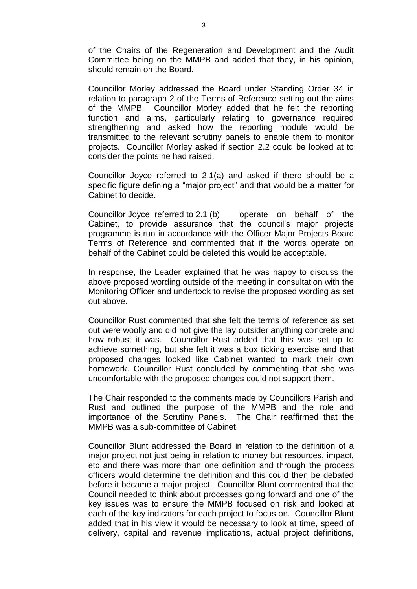of the Chairs of the Regeneration and Development and the Audit Committee being on the MMPB and added that they, in his opinion, should remain on the Board.

Councillor Morley addressed the Board under Standing Order 34 in relation to paragraph 2 of the Terms of Reference setting out the aims of the MMPB. Councillor Morley added that he felt the reporting function and aims, particularly relating to governance required strengthening and asked how the reporting module would be transmitted to the relevant scrutiny panels to enable them to monitor projects. Councillor Morley asked if section 2.2 could be looked at to consider the points he had raised.

Councillor Joyce referred to 2.1(a) and asked if there should be a specific figure defining a "major project" and that would be a matter for Cabinet to decide.

Councillor Joyce referred to 2.1 (b) operate on behalf of the Cabinet, to provide assurance that the council's major projects programme is run in accordance with the Officer Major Projects Board Terms of Reference and commented that if the words operate on behalf of the Cabinet could be deleted this would be acceptable.

In response, the Leader explained that he was happy to discuss the above proposed wording outside of the meeting in consultation with the Monitoring Officer and undertook to revise the proposed wording as set out above.

Councillor Rust commented that she felt the terms of reference as set out were woolly and did not give the lay outsider anything concrete and how robust it was. Councillor Rust added that this was set up to achieve something, but she felt it was a box ticking exercise and that proposed changes looked like Cabinet wanted to mark their own homework. Councillor Rust concluded by commenting that she was uncomfortable with the proposed changes could not support them.

The Chair responded to the comments made by Councillors Parish and Rust and outlined the purpose of the MMPB and the role and importance of the Scrutiny Panels. The Chair reaffirmed that the MMPB was a sub-committee of Cabinet.

Councillor Blunt addressed the Board in relation to the definition of a major project not just being in relation to money but resources, impact, etc and there was more than one definition and through the process officers would determine the definition and this could then be debated before it became a major project. Councillor Blunt commented that the Council needed to think about processes going forward and one of the key issues was to ensure the MMPB focused on risk and looked at each of the key indicators for each project to focus on. Councillor Blunt added that in his view it would be necessary to look at time, speed of delivery, capital and revenue implications, actual project definitions,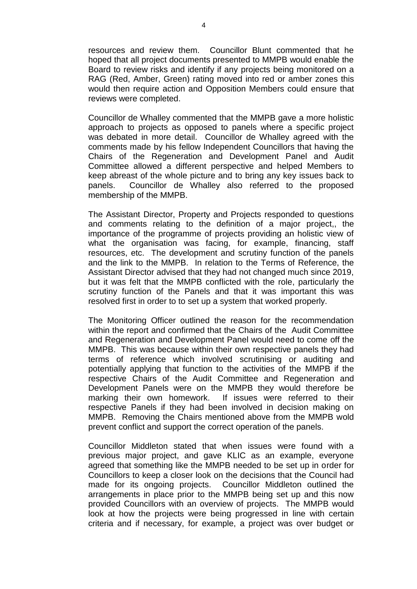resources and review them. Councillor Blunt commented that he hoped that all project documents presented to MMPB would enable the Board to review risks and identify if any projects being monitored on a RAG (Red, Amber, Green) rating moved into red or amber zones this would then require action and Opposition Members could ensure that reviews were completed.

Councillor de Whalley commented that the MMPB gave a more holistic approach to projects as opposed to panels where a specific project was debated in more detail. Councillor de Whalley agreed with the comments made by his fellow Independent Councillors that having the Chairs of the Regeneration and Development Panel and Audit Committee allowed a different perspective and helped Members to keep abreast of the whole picture and to bring any key issues back to panels. Councillor de Whalley also referred to the proposed membership of the MMPB.

The Assistant Director, Property and Projects responded to questions and comments relating to the definition of a major project,, the importance of the programme of projects providing an holistic view of what the organisation was facing, for example, financing, staff resources, etc. The development and scrutiny function of the panels and the link to the MMPB. In relation to the Terms of Reference, the Assistant Director advised that they had not changed much since 2019, but it was felt that the MMPB conflicted with the role, particularly the scrutiny function of the Panels and that it was important this was resolved first in order to to set up a system that worked properly.

The Monitoring Officer outlined the reason for the recommendation within the report and confirmed that the Chairs of the Audit Committee and Regeneration and Development Panel would need to come off the MMPB. This was because within their own respective panels they had terms of reference which involved scrutinising or auditing and potentially applying that function to the activities of the MMPB if the respective Chairs of the Audit Committee and Regeneration and Development Panels were on the MMPB they would therefore be marking their own homework. If issues were referred to their respective Panels if they had been involved in decision making on MMPB. Removing the Chairs mentioned above from the MMPB wold prevent conflict and support the correct operation of the panels.

Councillor Middleton stated that when issues were found with a previous major project, and gave KLIC as an example, everyone agreed that something like the MMPB needed to be set up in order for Councillors to keep a closer look on the decisions that the Council had made for its ongoing projects. Councillor Middleton outlined the arrangements in place prior to the MMPB being set up and this now provided Councillors with an overview of projects. The MMPB would look at how the projects were being progressed in line with certain criteria and if necessary, for example, a project was over budget or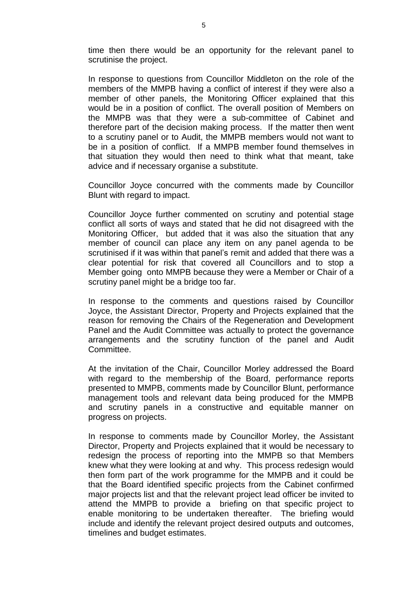time then there would be an opportunity for the relevant panel to scrutinise the project.

In response to questions from Councillor Middleton on the role of the members of the MMPB having a conflict of interest if they were also a member of other panels, the Monitoring Officer explained that this would be in a position of conflict. The overall position of Members on the MMPB was that they were a sub-committee of Cabinet and therefore part of the decision making process. If the matter then went to a scrutiny panel or to Audit, the MMPB members would not want to be in a position of conflict. If a MMPB member found themselves in that situation they would then need to think what that meant, take advice and if necessary organise a substitute.

Councillor Joyce concurred with the comments made by Councillor Blunt with regard to impact.

Councillor Joyce further commented on scrutiny and potential stage conflict all sorts of ways and stated that he did not disagreed with the Monitoring Officer, but added that it was also the situation that any member of council can place any item on any panel agenda to be scrutinised if it was within that panel's remit and added that there was a clear potential for risk that covered all Councillors and to stop a Member going onto MMPB because they were a Member or Chair of a scrutiny panel might be a bridge too far.

In response to the comments and questions raised by Councillor Joyce, the Assistant Director, Property and Projects explained that the reason for removing the Chairs of the Regeneration and Development Panel and the Audit Committee was actually to protect the governance arrangements and the scrutiny function of the panel and Audit Committee.

At the invitation of the Chair, Councillor Morley addressed the Board with regard to the membership of the Board, performance reports presented to MMPB, comments made by Councillor Blunt, performance management tools and relevant data being produced for the MMPB and scrutiny panels in a constructive and equitable manner on progress on projects.

In response to comments made by Councillor Morley, the Assistant Director, Property and Projects explained that it would be necessary to redesign the process of reporting into the MMPB so that Members knew what they were looking at and why. This process redesign would then form part of the work programme for the MMPB and it could be that the Board identified specific projects from the Cabinet confirmed major projects list and that the relevant project lead officer be invited to attend the MMPB to provide a briefing on that specific project to enable monitoring to be undertaken thereafter. The briefing would include and identify the relevant project desired outputs and outcomes, timelines and budget estimates.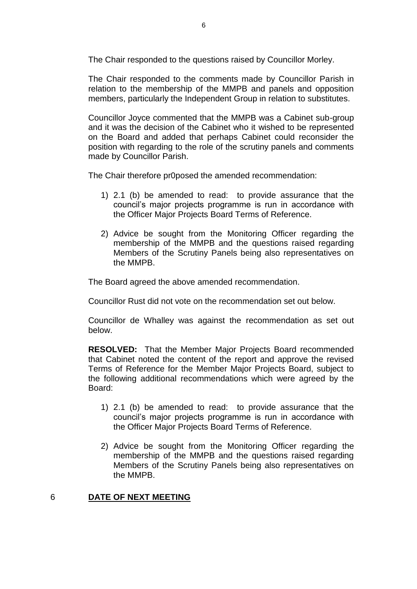The Chair responded to the questions raised by Councillor Morley.

The Chair responded to the comments made by Councillor Parish in relation to the membership of the MMPB and panels and opposition members, particularly the Independent Group in relation to substitutes.

Councillor Joyce commented that the MMPB was a Cabinet sub-group and it was the decision of the Cabinet who it wished to be represented on the Board and added that perhaps Cabinet could reconsider the position with regarding to the role of the scrutiny panels and comments made by Councillor Parish.

The Chair therefore pr0posed the amended recommendation:

- 1) 2.1 (b) be amended to read: to provide assurance that the council's major projects programme is run in accordance with the Officer Major Projects Board Terms of Reference.
- 2) Advice be sought from the Monitoring Officer regarding the membership of the MMPB and the questions raised regarding Members of the Scrutiny Panels being also representatives on the MMPB.

The Board agreed the above amended recommendation.

Councillor Rust did not vote on the recommendation set out below.

Councillor de Whalley was against the recommendation as set out below.

**RESOLVED:** That the Member Major Projects Board recommended that Cabinet noted the content of the report and approve the revised Terms of Reference for the Member Major Projects Board, subject to the following additional recommendations which were agreed by the Board:

- 1) 2.1 (b) be amended to read: to provide assurance that the council's major projects programme is run in accordance with the Officer Major Projects Board Terms of Reference.
- 2) Advice be sought from the Monitoring Officer regarding the membership of the MMPB and the questions raised regarding Members of the Scrutiny Panels being also representatives on the MMPB.

## 6 **DATE OF NEXT MEETING**